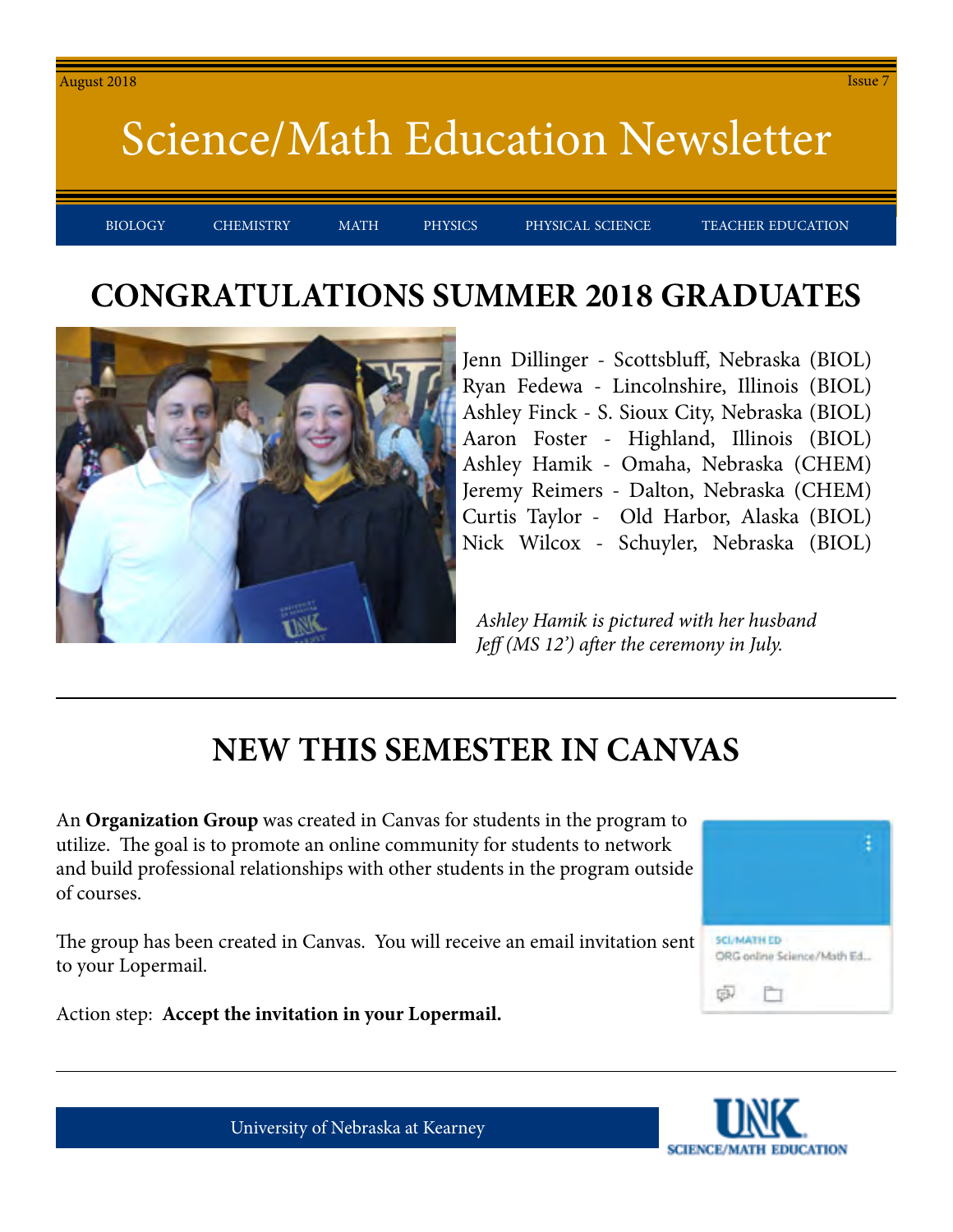BIOLOGY CHEMISTRY MATH PHYSICS PHYSICAL-SCIENCE TEACHER-EDUCATION

#### **CONGRATULATIONS SUMMER 2018 GRADUATES**



Jenn Dillinger - Scottsbluff, Nebraska (BIOL) Ryan Fedewa - Lincolnshire, Illinois (BIOL) Ashley Finck - S. Sioux City, Nebraska (BIOL) Aaron Foster - Highland, Illinois (BIOL) Ashley Hamik - Omaha, Nebraska (CHEM) Jeremy Reimers - Dalton, Nebraska (CHEM) Curtis Taylor - Old Harbor, Alaska (BIOL) Nick Wilcox - Schuyler, Nebraska (BIOL)

*Ashley Hamik is pictured with her husband Jeff (MS 12') after the ceremony in July.*

#### **NEW THIS SEMESTER IN CANVAS**

An **Organization Group** was created in Canvas for students in the program to utilize. The goal is to promote an online community for students to network and build professional relationships with other students in the program outside of courses.

The group has been created in Canvas. You will receive an email invitation sent to your Lopermail.





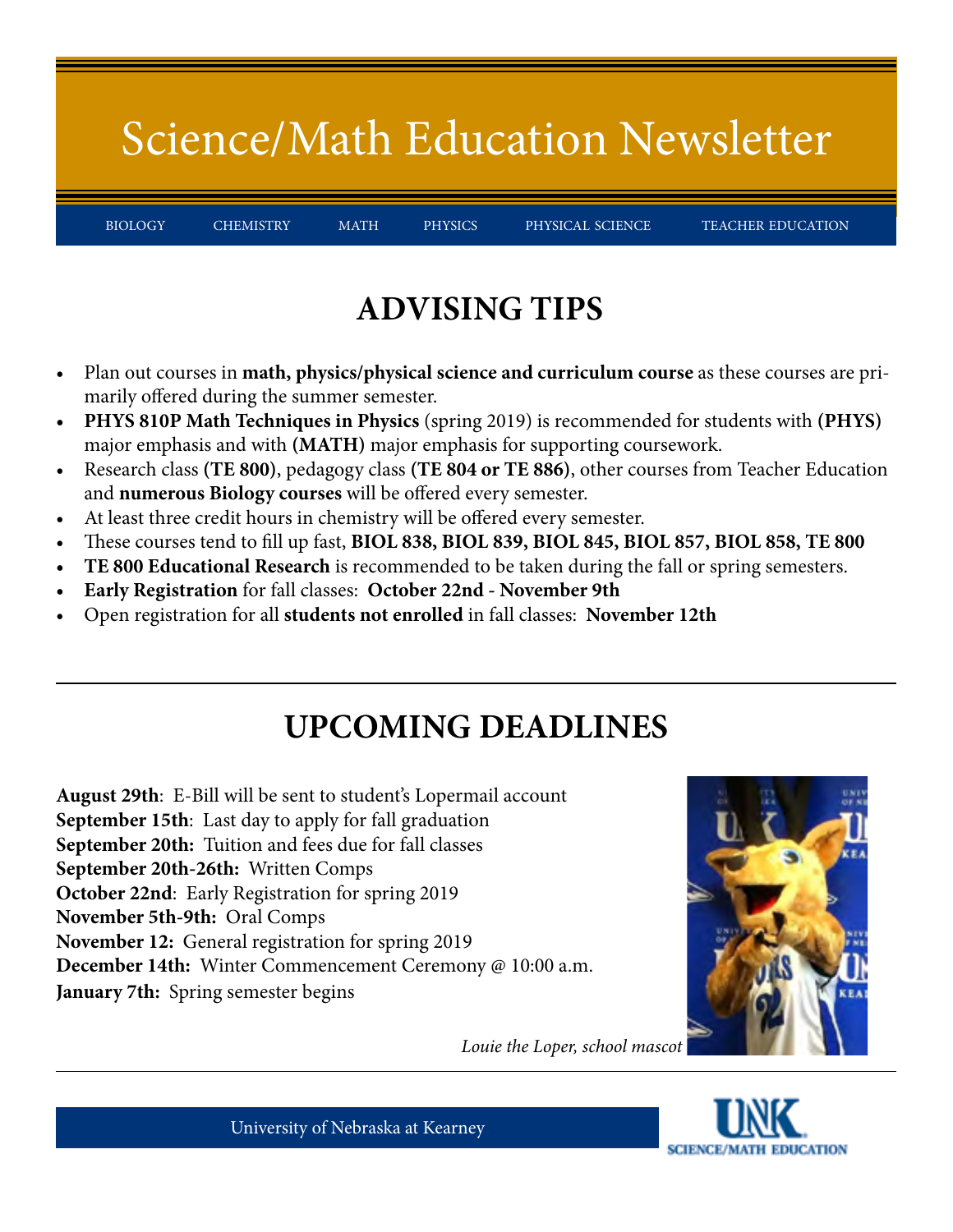BIOLOGY CHEMISTRY MATH PHYSICS PHYSICAL-SCIENCE TEACHER-EDUCATION

### **ADVISING TIPS**

- Plan out courses in **math, physics/physical science and curriculum course** as these courses are primarily offered during the summer semester.
- **• PHYS 810P Math Techniques in Physics** (spring 2019) is recommended for students with **(PHYS)** major emphasis and with **(MATH)** major emphasis for supporting coursework.
- Research class **(TE 800)**, pedagogy class **(TE 804 or TE 886)**, other courses from Teacher Education and **numerous Biology courses** will be offered every semester.
- At least three credit hours in chemistry will be offered every semester.
- These courses tend to fill up fast, **BIOL 838, BIOL 839, BIOL 845, BIOL 857, BIOL 858, TE 800**
- **• TE 800 Educational Research** is recommended to be taken during the fall or spring semesters.
- **• Early Registration** for fall classes: **October 22nd November 9th**
- Open registration for all **students not enrolled** in fall classes: **November 12th**

### **UPCOMING DEADLINES**

**August 29th**: E-Bill will be sent to student's Lopermail account **September 15th**: Last day to apply for fall graduation **September 20th:** Tuition and fees due for fall classes **September 20th-26th:** Written Comps **October 22nd**: Early Registration for spring 2019 **November 5th-9th:** Oral Comps **November 12:** General registration for spring 2019 **December 14th:** Winter Commencement Ceremony @ 10:00 a.m. **January 7th:** Spring semester begins



*Louie the Loper, school mascot*



University of Nebraska at Kearney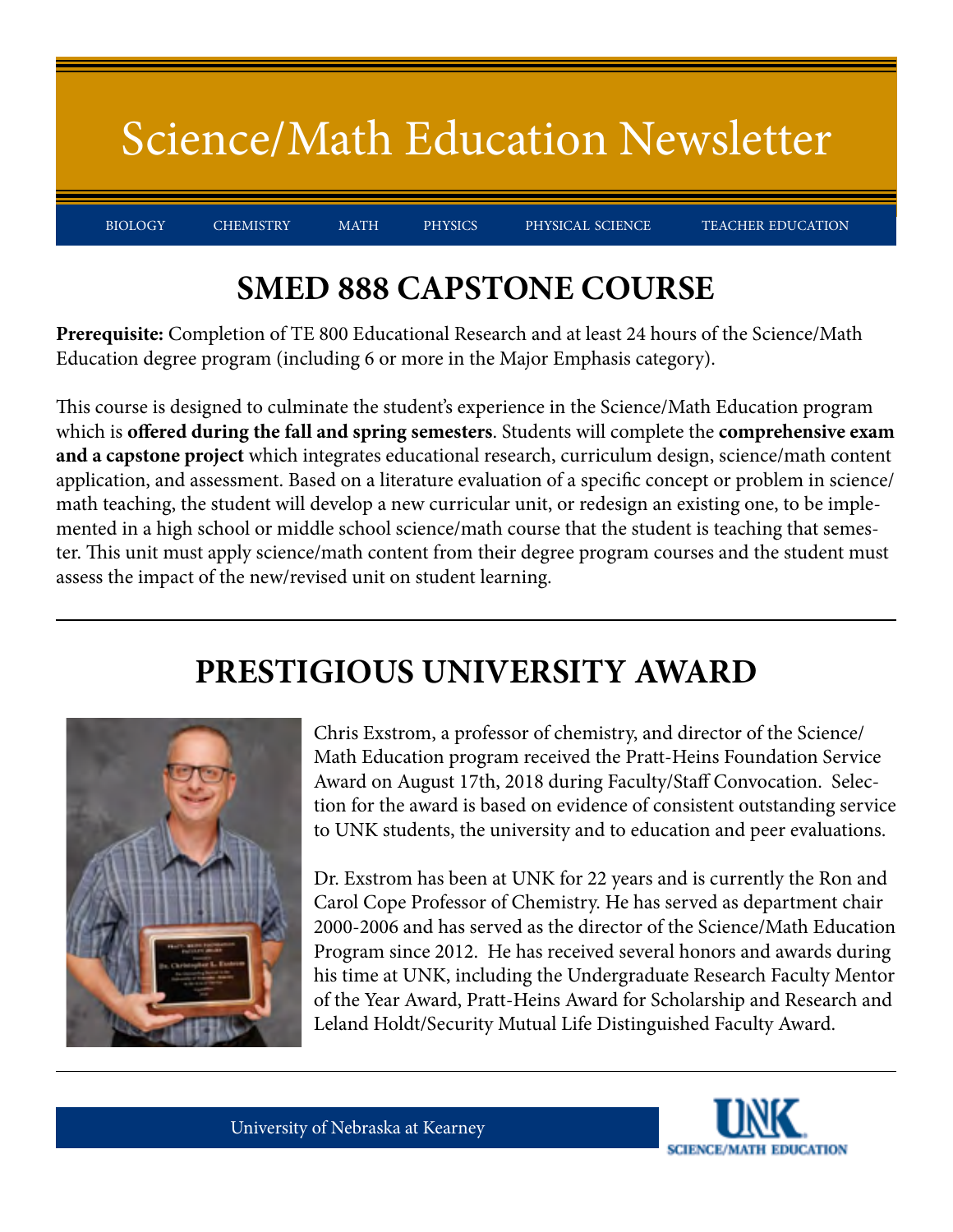BIOLOGY CHEMISTRY MATH PHYSICS PHYSICAL-SCIENCE TEACHER-EDUCATION

### **SMED 888 CAPSTONE COURSE**

**Prerequisite:** Completion of TE 800 Educational Research and at least 24 hours of the Science/Math Education degree program (including 6 or more in the Major Emphasis category).

This course is designed to culminate the student's experience in the Science/Math Education program which is **offered during the fall and spring semesters**. Students will complete the **comprehensive exam and a capstone project** which integrates educational research, curriculum design, science/math content application, and assessment. Based on a literature evaluation of a specific concept or problem in science/ math teaching, the student will develop a new curricular unit, or redesign an existing one, to be implemented in a high school or middle school science/math course that the student is teaching that semester. This unit must apply science/math content from their degree program courses and the student must assess the impact of the new/revised unit on student learning.

#### **PRESTIGIOUS UNIVERSITY AWARD**



Chris Exstrom, a professor of chemistry, and director of the Science/ Math Education program received the Pratt-Heins Foundation Service Award on August 17th, 2018 during Faculty/Staff Convocation. Selection for the award is based on evidence of consistent outstanding service to UNK students, the university and to education and peer evaluations.

Dr. Exstrom has been at UNK for 22 years and is currently the Ron and Carol Cope Professor of Chemistry. He has served as department chair 2000-2006 and has served as the director of the Science/Math Education Program since 2012. He has received several honors and awards during his time at UNK, including the Undergraduate Research Faculty Mentor of the Year Award, Pratt-Heins Award for Scholarship and Research and Leland Holdt/Security Mutual Life Distinguished Faculty Award.

University of Nebraska at Kearney